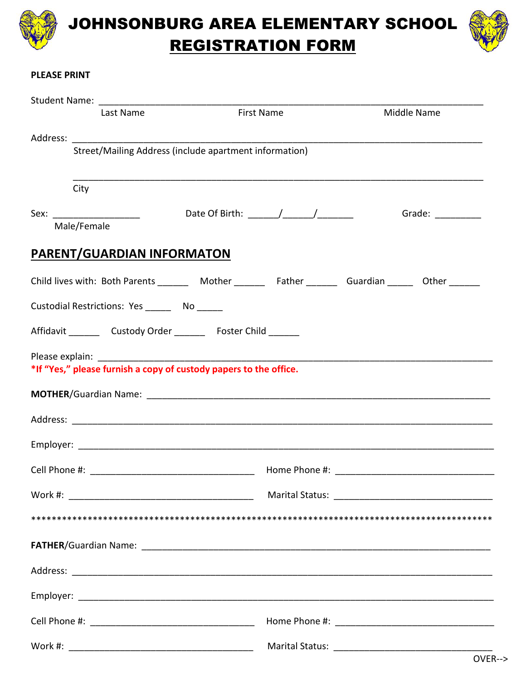

**JOHNSONBURG AREA ELEMENTARY SCHOOL REGISTRATION FORM** 



## **PLEASE PRINT**

| Last Name                                              | <b>First Name</b>                                                                                           | Middle Name                                                                                                                                                                                                                    |  |  |  |  |
|--------------------------------------------------------|-------------------------------------------------------------------------------------------------------------|--------------------------------------------------------------------------------------------------------------------------------------------------------------------------------------------------------------------------------|--|--|--|--|
|                                                        |                                                                                                             |                                                                                                                                                                                                                                |  |  |  |  |
| Street/Mailing Address (include apartment information) |                                                                                                             |                                                                                                                                                                                                                                |  |  |  |  |
| City                                                   |                                                                                                             |                                                                                                                                                                                                                                |  |  |  |  |
| Sex: ______________________                            |                                                                                                             | Grade: The Contract of the Contract of the Contract of the Contract of the Contract of the Contract of the Contract of the Contract of the Contract of the Contract of the Contract of the Contract of the Contract of the Con |  |  |  |  |
| Male/Female                                            |                                                                                                             |                                                                                                                                                                                                                                |  |  |  |  |
| <b>PARENT/GUARDIAN INFORMATON</b>                      |                                                                                                             |                                                                                                                                                                                                                                |  |  |  |  |
|                                                        | Child lives with: Both Parents __________ Mother __________ Father _________ Guardian _______ Other _______ |                                                                                                                                                                                                                                |  |  |  |  |
| Custodial Restrictions: Yes ________ No ______         |                                                                                                             |                                                                                                                                                                                                                                |  |  |  |  |
|                                                        | Affidavit _________ Custody Order _________ Foster Child _______                                            |                                                                                                                                                                                                                                |  |  |  |  |
|                                                        |                                                                                                             |                                                                                                                                                                                                                                |  |  |  |  |
|                                                        | *If "Yes," please furnish a copy of custody papers to the office.                                           |                                                                                                                                                                                                                                |  |  |  |  |
|                                                        |                                                                                                             |                                                                                                                                                                                                                                |  |  |  |  |
|                                                        |                                                                                                             |                                                                                                                                                                                                                                |  |  |  |  |
|                                                        |                                                                                                             |                                                                                                                                                                                                                                |  |  |  |  |
|                                                        |                                                                                                             |                                                                                                                                                                                                                                |  |  |  |  |
|                                                        |                                                                                                             |                                                                                                                                                                                                                                |  |  |  |  |
|                                                        |                                                                                                             |                                                                                                                                                                                                                                |  |  |  |  |
|                                                        |                                                                                                             |                                                                                                                                                                                                                                |  |  |  |  |
|                                                        |                                                                                                             |                                                                                                                                                                                                                                |  |  |  |  |
|                                                        |                                                                                                             |                                                                                                                                                                                                                                |  |  |  |  |
|                                                        |                                                                                                             |                                                                                                                                                                                                                                |  |  |  |  |
|                                                        |                                                                                                             |                                                                                                                                                                                                                                |  |  |  |  |